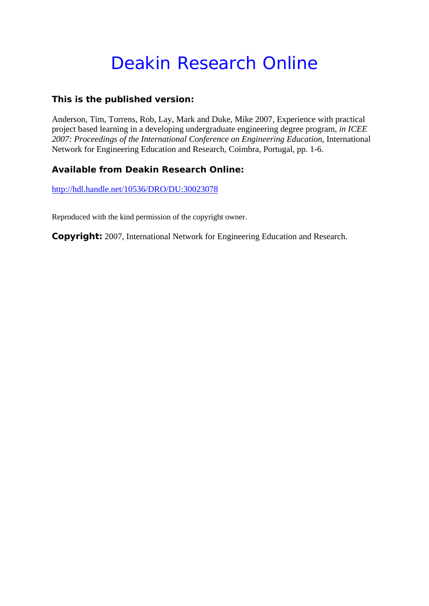# Deakin Research Online

### **This is the published version:**

Anderson, Tim, Torrens, Rob, Lay, Mark and Duke, Mike 2007, Experience with practical project based learning in a developing undergraduate engineering degree program*, in ICEE 2007: Proceedings of the International Conference on Engineering Education*, International Network for Engineering Education and Research, Coimbra, Portugal, pp. 1-6.

## **Available from Deakin Research Online:**

http://hdl.handle.net/10536/DRO/DU:30023078

Reproduced with the kind permission of the copyright owner.

**Copyright:** 2007, International Network for Engineering Education and Research.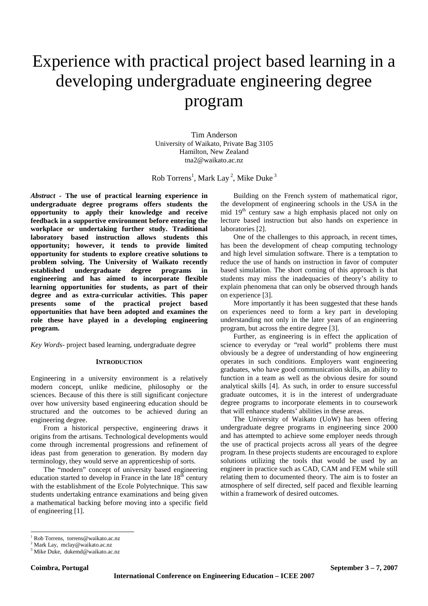## Experience with practical project based learning in a developing undergraduate engineering degree program

Tim Anderson University of Waikato, Private Bag 3105 Hamilton, New Zealand tna2@waikato.ac.nz

Rob Torrens<sup>1</sup>, Mark Lay<sup>2</sup>, Mike Duke<sup>3</sup>

*Abstract* **- The use of practical learning experience in undergraduate degree programs offers students the opportunity to apply their knowledge and receive feedback in a supportive environment before entering the workplace or undertaking further study. Traditional laboratory based instruction allows students this opportunity; however, it tends to provide limited opportunity for students to explore creative solutions to problem solving. The University of Waikato recently established undergraduate degree programs in engineering and has aimed to incorporate flexible learning opportunities for students, as part of their degree and as extra-curricular activities. This paper presents some of the practical project based opportunities that have been adopted and examines the role these have played in a developing engineering program.** 

*Key Words*- project based learning, undergraduate degree

#### **INTRODUCTION**

Engineering in a university environment is a relatively modern concept, unlike medicine, philosophy or the sciences. Because of this there is still significant conjecture over how university based engineering education should be structured and the outcomes to be achieved during an engineering degree.

From a historical perspective, engineering draws it origins from the artisans. Technological developments would come through incremental progressions and refinement of ideas past from generation to generation. By modern day terminology, they would serve an apprenticeship of sorts.

The "modern" concept of university based engineering education started to develop in France in the late  $18<sup>th</sup>$  century with the establishment of the Ecole Polytechnique. This saw students undertaking entrance examinations and being given a mathematical backing before moving into a specific field of engineering [1].

Building on the French system of mathematical rigor, the development of engineering schools in the USA in the mid 19<sup>th</sup> century saw a high emphasis placed not only on lecture based instruction but also hands on experience in laboratories [2].

One of the challenges to this approach, in recent times, has been the development of cheap computing technology and high level simulation software. There is a temptation to reduce the use of hands on instruction in favor of computer based simulation. The short coming of this approach is that students may miss the inadequacies of theory's ability to explain phenomena that can only be observed through hands on experience [3].

More importantly it has been suggested that these hands on experiences need to form a key part in developing understanding not only in the later years of an engineering program, but across the entire degree [3].

Further, as engineering is in effect the application of science to everyday or "real world" problems there must obviously be a degree of understanding of how engineering operates in such conditions. Employers want engineering graduates, who have good communication skills, an ability to function in a team as well as the obvious desire for sound analytical skills [4]. As such, in order to ensure successful graduate outcomes, it is in the interest of undergraduate degree programs to incorporate elements in to coursework that will enhance students' abilities in these areas.

The University of Waikato (UoW) has been offering undergraduate degree programs in engineering since 2000 and has attempted to achieve some employer needs through the use of practical projects across all years of the degree program. In these projects students are encouraged to explore solutions utilizing the tools that would be used by an engineer in practice such as CAD, CAM and FEM while still relating them to documented theory. The aim is to foster an atmosphere of self directed, self paced and flexible learning within a framework of desired outcomes.

l

<sup>1</sup> Rob Torrens, torrens@waikato.ac.nz

<sup>&</sup>lt;sup>2</sup> Mark Lay, mclay@waikato.ac.nz

<sup>3</sup> Mike Duke, dukemd@waikato.ac.nz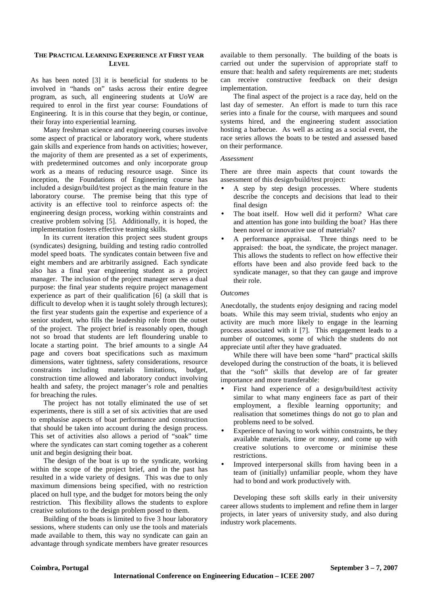#### **THE PRACTICAL LEARNING EXPERIENCE AT FIRST YEAR LEVEL**

As has been noted [3] it is beneficial for students to be involved in "hands on" tasks across their entire degree program, as such, all engineering students at UoW are required to enrol in the first year course: Foundations of Engineering. It is in this course that they begin, or continue, their foray into experiential learning.

Many freshman science and engineering courses involve some aspect of practical or laboratory work, where students gain skills and experience from hands on activities; however, the majority of them are presented as a set of experiments, with predetermined outcomes and only incorporate group work as a means of reducing resource usage. Since its inception, the Foundations of Engineering course has included a design/build/test project as the main feature in the laboratory course. The premise being that this type of activity is an effective tool to reinforce aspects of: the engineering design process, working within constraints and creative problem solving [5]. Additionally, it is hoped, the implementation fosters effective teaming skills.

In its current iteration this project sees student groups (syndicates) designing, building and testing radio controlled model speed boats. The syndicates contain between five and eight members and are arbitrarily assigned. Each syndicate also has a final year engineering student as a project manager. The inclusion of the project manager serves a dual purpose: the final year students require project management experience as part of their qualification [6] (a skill that is difficult to develop when it is taught solely through lectures); the first year students gain the expertise and experience of a senior student, who fills the leadership role from the outset of the project. The project brief is reasonably open, though not so broad that students are left floundering unable to locate a starting point. The brief amounts to a single A4 page and covers boat specifications such as maximum dimensions, water tightness, safety considerations, resource constraints including materials limitations, budget, construction time allowed and laboratory conduct involving health and safety, the project manager's role and penalties for breaching the rules.

The project has not totally eliminated the use of set experiments, there is still a set of six activities that are used to emphasise aspects of boat performance and construction that should be taken into account during the design process. This set of activities also allows a period of "soak" time where the syndicates can start coming together as a coherent unit and begin designing their boat.

The design of the boat is up to the syndicate, working within the scope of the project brief, and in the past has resulted in a wide variety of designs. This was due to only maximum dimensions being specified, with no restriction placed on hull type, and the budget for motors being the only restriction. This flexibility allows the students to explore creative solutions to the design problem posed to them.

Building of the boats is limited to five 3 hour laboratory sessions, where students can only use the tools and materials made available to them, this way no syndicate can gain an advantage through syndicate members have greater resources

available to them personally. The building of the boats is carried out under the supervision of appropriate staff to ensure that: health and safety requirements are met; students can receive constructive feedback on their design implementation.

The final aspect of the project is a race day, held on the last day of semester. An effort is made to turn this race series into a finale for the course, with marquees and sound systems hired, and the engineering student association hosting a barbecue. As well as acting as a social event, the race series allows the boats to be tested and assessed based on their performance.

#### *Assessment*

There are three main aspects that count towards the assessment of this design/build/test project:

- A step by step design processes. Where students describe the concepts and decisions that lead to their final design
- The boat itself. How well did it perform? What care and attention has gone into building the boat? Has there been novel or innovative use of materials?
- A performance appraisal. Three things need to be appraised: the boat, the syndicate, the project manager. This allows the students to reflect on how effective their efforts have been and also provide feed back to the syndicate manager, so that they can gauge and improve their role.

#### *Outcomes*

Anecdotally, the students enjoy designing and racing model boats. While this may seem trivial, students who enjoy an activity are much more likely to engage in the learning process associated with it [7]. This engagement leads to a number of outcomes, some of which the students do not appreciate until after they have graduated.

While there will have been some "hard" practical skills developed during the construction of the boats, it is believed that the "soft" skills that develop are of far greater importance and more transferable:

- First hand experience of a design/build/test activity similar to what many engineers face as part of their employment, a flexible learning opportunity; and realisation that sometimes things do not go to plan and problems need to be solved.
- Experience of having to work within constraints, be they available materials, time or money, and come up with creative solutions to overcome or minimise these restrictions.
- Improved interpersonal skills from having been in a team of (initially) unfamiliar people, whom they have had to bond and work productively with.

Developing these soft skills early in their university career allows students to implement and refine them in larger projects, in later years of university study, and also during industry work placements.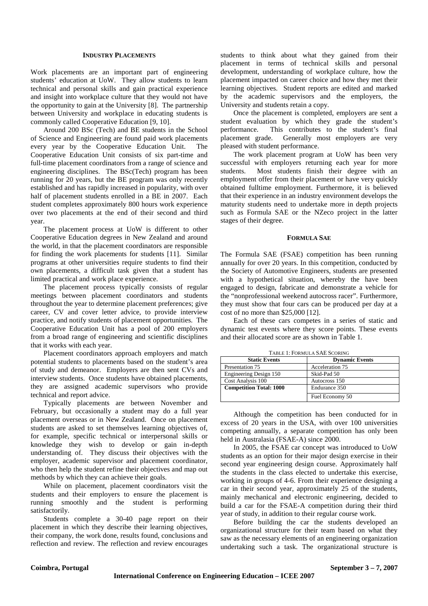#### **INDUSTRY PLACEMENTS**

Work placements are an important part of engineering students' education at UoW. They allow students to learn technical and personal skills and gain practical experience and insight into workplace culture that they would not have the opportunity to gain at the University [8]. The partnership between University and workplace in educating students is commonly called Cooperative Education [9, 10].

Around 200 BSc (Tech) and BE students in the School of Science and Engineering are found paid work placements every year by the Cooperative Education Unit. The Cooperative Education Unit consists of six part-time and full-time placement coordinators from a range of science and engineering disciplines. The BSc(Tech) program has been running for 20 years, but the BE program was only recently established and has rapidly increased in popularity, with over half of placement students enrolled in a BE in 2007. Each student completes approximately 800 hours work experience over two placements at the end of their second and third year.

The placement process at UoW is different to other Cooperative Education degrees in New Zealand and around the world, in that the placement coordinators are responsible for finding the work placements for students [11]. Similar programs at other universities require students to find their own placements, a difficult task given that a student has limited practical and work place experience.

The placement process typically consists of regular meetings between placement coordinators and students throughout the year to determine placement preferences; give career, CV and cover letter advice, to provide interview practice, and notify students of placement opportunities. The Cooperative Education Unit has a pool of 200 employers from a broad range of engineering and scientific disciplines that it works with each year.

Placement coordinators approach employers and match potential students to placements based on the student's area of study and demeanor. Employers are then sent CVs and interview students. Once students have obtained placements, they are assigned academic supervisors who provide technical and report advice.

Typically placements are between November and February, but occasionally a student may do a full year placement overseas or in New Zealand. Once on placement students are asked to set themselves learning objectives of, for example, specific technical or interpersonal skills or knowledge they wish to develop or gain in-depth understanding of. They discuss their objectives with the employer, academic supervisor and placement coordinator, who then help the student refine their objectives and map out methods by which they can achieve their goals.

While on placement, placement coordinators visit the students and their employers to ensure the placement is running smoothly and the student is performing satisfactorily.

Students complete a 30-40 page report on their placement in which they describe their learning objectives, their company, the work done, results found, conclusions and reflection and review. The reflection and review encourages students to think about what they gained from their placement in terms of technical skills and personal development, understanding of workplace culture, how the placement impacted on career choice and how they met their learning objectives. Student reports are edited and marked by the academic supervisors and the employers, the University and students retain a copy.

Once the placement is completed, employers are sent a student evaluation by which they grade the student's performance. This contributes to the student's final placement grade. Generally most employers are very pleased with student performance.

The work placement program at UoW has been very successful with employers returning each year for more students. Most students finish their degree with an employment offer from their placement or have very quickly obtained fulltime employment. Furthermore, it is believed that their experience in an industry environment develops the maturity students need to undertake more in depth projects such as Formula SAE or the NZeco project in the latter stages of their degree.

#### **FORMULA SAE**

The Formula SAE (FSAE) competition has been running annually for over 20 years. In this competition, conducted by the Society of Automotive Engineers, students are presented with a hypothetical situation, whereby the have been engaged to design, fabricate and demonstrate a vehicle for the "nonprofessional weekend autocross racer". Furthermore, they must show that four cars can be produced per day at a cost of no more than \$25,000 [12].

Each of these cars competes in a series of static and dynamic test events where they score points. These events and their allocated score are as shown in Table 1.

| TABLE T. PORMULA SAL SCORING   |                       |
|--------------------------------|-----------------------|
| <b>Static Events</b>           | <b>Dynamic Events</b> |
| Presentation 75                | Acceleration 75       |
| Engineering Design 150         | Skid-Pad 50           |
| Cost Analysis 100              | Autocross 150         |
| <b>Competition Total: 1000</b> | Endurance 350         |
|                                | Fuel Economy 50       |

TABLE 1: FORMULA SAE SCORING

Although the competition has been conducted for in excess of 20 years in the USA, with over 100 universities competing annually, a separate competition has only been held in Australasia (FSAE-A) since 2000.

In 2005, the FSAE car concept was introduced to UoW students as an option for their major design exercise in their second year engineering design course. Approximately half the students in the class elected to undertake this exercise, working in groups of 4-6. From their experience designing a car in their second year, approximately 25 of the students, mainly mechanical and electronic engineering, decided to build a car for the FSAE-A competition during their third year of study, in addition to their regular course work.

Before building the car the students developed an organizational structure for their team based on what they saw as the necessary elements of an engineering organization undertaking such a task. The organizational structure is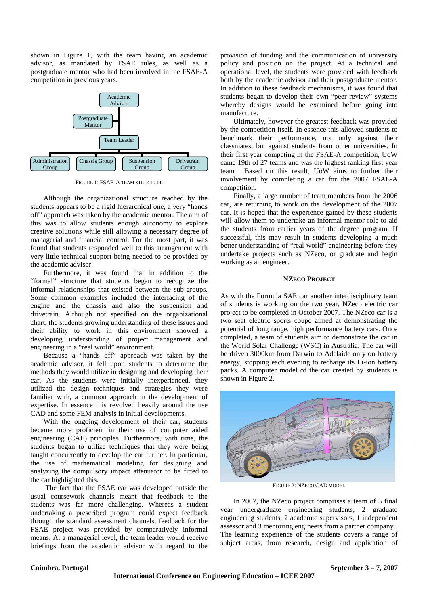shown in Figure 1, with the team having an academic advisor, as mandated by FSAE rules, as well as a postgraduate mentor who had been involved in the FSAE-A competition in previous years.



FIGURE 1: FSAE-A TEAM STRUCTURE

Although the organizational structure reached by the students appears to be a rigid hierarchical one, a very "hands off" approach was taken by the academic mentor. The aim of this was to allow students enough autonomy to explore creative solutions while still allowing a necessary degree of managerial and financial control. For the most part, it was found that students responded well to this arrangement with very little technical support being needed to be provided by the academic advisor.

Furthermore, it was found that in addition to the "formal" structure that students began to recognize the informal relationships that existed between the sub-groups. Some common examples included the interfacing of the engine and the chassis and also the suspension and drivetrain. Although not specified on the organizational chart, the students growing understanding of these issues and their ability to work in this environment showed a developing understanding of project management and engineering in a "real world" environment.

Because a "hands off" approach was taken by the academic advisor, it fell upon students to determine the methods they would utilize in designing and developing their car. As the students were initially inexperienced, they utilized the design techniques and strategies they were familiar with, a common approach in the development of expertise. In essence this revolved heavily around the use CAD and some FEM analysis in initial developments.

With the ongoing development of their car, students became more proficient in their use of computer aided engineering (CAE) principles. Furthermore, with time, the students began to utilize techniques that they were being taught concurrently to develop the car further. In particular, the use of mathematical modeling for designing and analyzing the compulsory impact attenuator to be fitted to the car highlighted this.

 The fact that the FSAE car was developed outside the usual coursework channels meant that feedback to the students was far more challenging. Whereas a student undertaking a prescribed program could expect feedback through the standard assessment channels, feedback for the FSAE project was provided by comparatively informal means. At a managerial level, the team leader would receive briefings from the academic advisor with regard to the

provision of funding and the communication of university policy and position on the project. At a technical and operational level, the students were provided with feedback both by the academic advisor and their postgraduate mentor. In addition to these feedback mechanisms, it was found that students began to develop their own "peer review" systems whereby designs would be examined before going into manufacture.

Ultimately, however the greatest feedback was provided by the competition itself. In essence this allowed students to benchmark their performance, not only against their classmates, but against students from other universities. In their first year competing in the FSAE-A competition, UoW came 19th of 27 teams and was the highest ranking first year team. Based on this result, UoW aims to further their involvement by completing a car for the 2007 FSAE-A competition.

Finally, a large number of team members from the 2006 car, are returning to work on the development of the 2007 car. It is hoped that the experience gained by these students will allow them to undertake an informal mentor role to aid the students from earlier years of the degree program. If successful, this may result in students developing a much better understanding of "real world" engineering before they undertake projects such as NZeco, or graduate and begin working as an engineer.

#### **NZECO PROJECT**

As with the Formula SAE car another interdisciplinary team of students is working on the two year, NZeco electric car project to be completed in October 2007. The NZeco car is a two seat electric sports coupe aimed at demonstrating the potential of long range, high performance battery cars. Once completed, a team of students aim to demonstrate the car in the World Solar Challenge (WSC) in Australia. The car will be driven 3000km from Darwin to Adelaide only on battery energy, stopping each evening to recharge its Li-ion battery packs. A computer model of the car created by students is shown in Figure 2.



FIGURE 2: NZECO CAD MODEL

In 2007, the NZeco project comprises a team of 5 final year undergraduate engineering students, 2 graduate engineering students, 2 academic supervisors, 1 independent assessor and 3 mentoring engineers from a partner company. The learning experience of the students covers a range of subject areas, from research, design and application of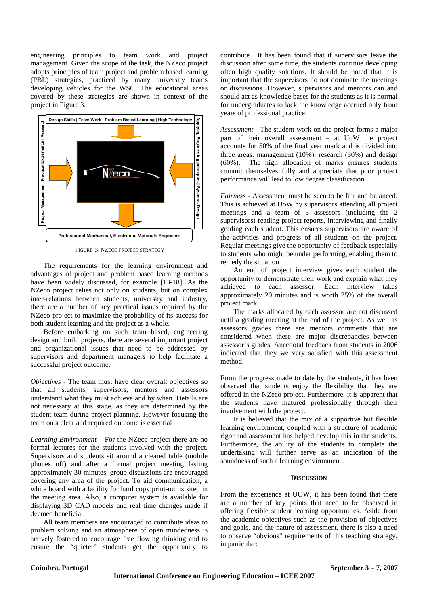engineering principles to team work and project management. Given the scope of the task, the NZeco project adopts principles of team project and problem based learning (PBL) strategies, practiced by many university teams developing vehicles for the WSC. The educational areas covered by these strategies are shown in context of the project in Figure 3.



FIGURE 3: NZECO PROJECT STRATEGY

The requirements for the learning environment and advantages of project and problem based learning methods have been widely discussed, for example [13-18]. As the NZeco project relies not only on students, but on complex inter-relations between students, university and industry, there are a number of key practical issues required by the NZeco project to maximize the probability of its success for both student learning and the project as a whole.

Before embarking on such team based, engineering design and build projects, there are several important project and organizational issues that need to be addressed by supervisors and department managers to help facilitate a successful project outcome:

*Objectives* - The team must have clear overall objectives so that all students, supervisors, mentors and assessors understand what they must achieve and by when. Details are not necessary at this stage, as they are determined by the student team during project planning. However focusing the team on a clear and required outcome is essential

*Learning Environment* – For the NZeco project there are no formal lectures for the students involved with the project. Supervisors and students sit around a cleared table (mobile phones off) and after a formal project meeting lasting approximately 30 minutes, group discussions are encouraged covering any area of the project. To aid communication, a white board with a facility for hard copy print-out is sited in the meeting area. Also, a computer system is available for displaying 3D CAD models and real time changes made if deemed beneficial.

All team members are encouraged to contribute ideas to problem solving and an atmosphere of open mindedness is actively fostered to encourage free flowing thinking and to ensure the "quieter" students get the opportunity to

contribute. It has been found that if supervisors leave the discussion after some time, the students continue developing often high quality solutions. It should be noted that it is important that the supervisors do not dominate the meetings or discussions. However, supervisors and mentors can and should act as knowledge bases for the students as it is normal for undergraduates to lack the knowledge accrued only from years of professional practice.

*Assessment* - The student work on the project forms a major part of their overall assessment – at UoW the project accounts for 50% of the final year mark and is divided into three areas: management (10%), research (30%) and design (60%). The high allocation of marks ensures students commit themselves fully and appreciate that poor project performance will lead to low degree classification.

*Fairness* - Assessment must be seen to be fair and balanced. This is achieved at UoW by supervisors attending all project meetings and a team of 3 assessors (including the 2 supervisors) reading project reports, interviewing and finally grading each student. This ensures supervisors are aware of the activities and progress of all students on the project. Regular meetings give the opportunity of feedback especially to students who might be under performing, enabling them to remedy the situation

An end of project interview gives each student the opportunity to demonstrate their work and explain what they achieved to each assessor. Each interview takes approximately 20 minutes and is worth 25% of the overall project mark.

The marks allocated by each assessor are not discussed until a grading meeting at the end of the project. As well as assessors grades there are mentors comments that are considered when there are major discrepancies between assessor's grades. Anecdotal feedback from students in 2006 indicated that they we very satisfied with this assessment method.

From the progress made to date by the students, it has been observed that students enjoy the flexibility that they are offered in the NZeco project. Furthermore, it is apparent that the students have matured professionally through their involvement with the project.

It is believed that the mix of a supportive but flexible learning environment, coupled with a structure of academic rigor and assessment has helped develop this in the students. Furthermore, the ability of the students to complete the undertaking will further serve as an indication of the soundness of such a learning environment.

#### **DISCUSSION**

From the experience at UOW, it has been found that there are a number of key points that need to be observed in offering flexible student learning opportunities. Aside from the academic objectives such as the provision of objectives and goals, and the nature of assessment, there is also a need to observe "obvious" requirements of this teaching strategy, in particular: